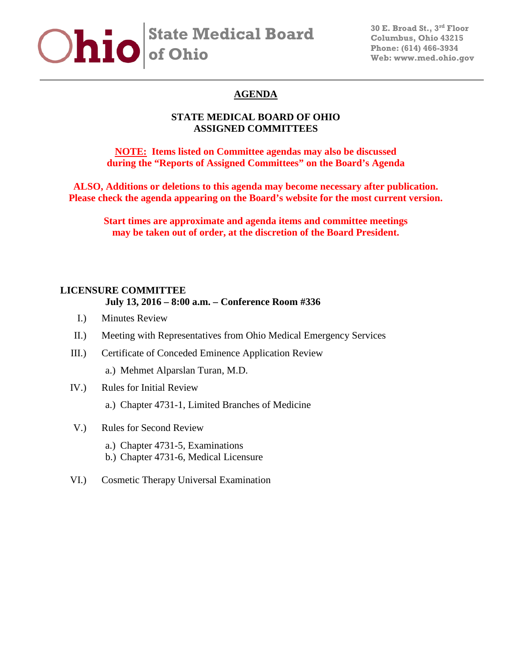

# **AGENDA**

# **STATE MEDICAL BOARD OF OHIO ASSIGNED COMMITTEES**

## **NOTE: Items listed on Committee agendas may also be discussed during the "Reports of Assigned Committees" on the Board's Agenda**

**ALSO, Additions or deletions to this agenda may become necessary after publication. Please check the agenda appearing on the Board's website for the most current version.**

**Start times are approximate and agenda items and committee meetings may be taken out of order, at the discretion of the Board President.**

## **LICENSURE COMMITTEE**

## **July 13, 2016 – 8:00 a.m. – Conference Room #336**

- I.) Minutes Review
- II.) Meeting with Representatives from Ohio Medical Emergency Services
- III.) Certificate of Conceded Eminence Application Review
	- a.) Mehmet Alparslan Turan, M.D.
- IV.) Rules for Initial Review
	- a.) Chapter 4731-1, Limited Branches of Medicine
- V.) Rules for Second Review
	- a.) Chapter 4731-5, Examinations
	- b.) Chapter 4731-6, Medical Licensure
- VI.) Cosmetic Therapy Universal Examination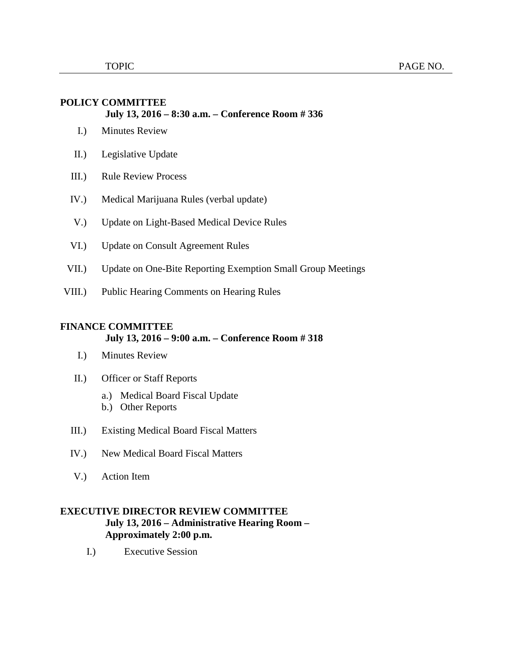## **POLICY COMMITTEE July 13, 2016 – 8:30 a.m. – Conference Room # 336**

- I.) Minutes Review
- II.) Legislative Update
- III.) Rule Review Process
- IV.) Medical Marijuana Rules (verbal update)
- V.) Update on Light-Based Medical Device Rules
- VI.) Update on Consult Agreement Rules
- VII.) Update on One-Bite Reporting Exemption Small Group Meetings
- VIII.) Public Hearing Comments on Hearing Rules

#### **FINANCE COMMITTEE**

#### **July 13, 2016 – 9:00 a.m. – Conference Room # 318**

- I.) Minutes Review
- II.) Officer or Staff Reports
	- a.) Medical Board Fiscal Update
	- b.) Other Reports
- III.) Existing Medical Board Fiscal Matters
- IV.) New Medical Board Fiscal Matters
- V.) Action Item

# **EXECUTIVE DIRECTOR REVIEW COMMITTEE July 13, 2016 – Administrative Hearing Room – Approximately 2:00 p.m.**

I.) Executive Session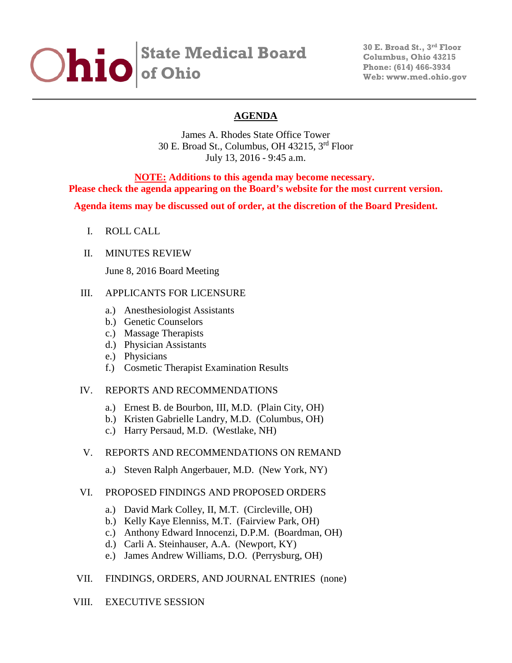# **State Medical Board of Ohio**

**30 E. Broad St., 3rd Floor Columbus, Ohio 43215 Phone: (614) 466-3934 Web: www.med.ohio.gov**

# **AGENDA**

James A. Rhodes State Office Tower 30 E. Broad St., Columbus, OH 43215, 3rd Floor July 13, 2016 - 9:45 a.m.

**NOTE: Additions to this agenda may become necessary. Please check the agenda appearing on the Board's website for the most current version.**

**Agenda items may be discussed out of order, at the discretion of the Board President.**

- I. ROLL CALL
- II. MINUTES REVIEW

June 8, 2016 Board Meeting

## III. APPLICANTS FOR LICENSURE

- a.) Anesthesiologist Assistants
- b.) Genetic Counselors
- c.) Massage Therapists
- d.) Physician Assistants
- e.) Physicians
- f.) Cosmetic Therapist Examination Results

## IV. REPORTS AND RECOMMENDATIONS

- a.) Ernest B. de Bourbon, III, M.D. (Plain City, OH)
- b.) Kristen Gabrielle Landry, M.D. (Columbus, OH)
- c.) Harry Persaud, M.D. (Westlake, NH)

## V. REPORTS AND RECOMMENDATIONS ON REMAND

a.) Steven Ralph Angerbauer, M.D. (New York, NY)

## VI. PROPOSED FINDINGS AND PROPOSED ORDERS

- a.) David Mark Colley, II, M.T. (Circleville, OH)
- b.) Kelly Kaye Elenniss, M.T. (Fairview Park, OH)
- c.) Anthony Edward Innocenzi, D.P.M. (Boardman, OH)
- d.) Carli A. Steinhauser, A.A. (Newport, KY)
- e.) James Andrew Williams, D.O. (Perrysburg, OH)

## VII. FINDINGS, ORDERS, AND JOURNAL ENTRIES (none)

VIII. EXECUTIVE SESSION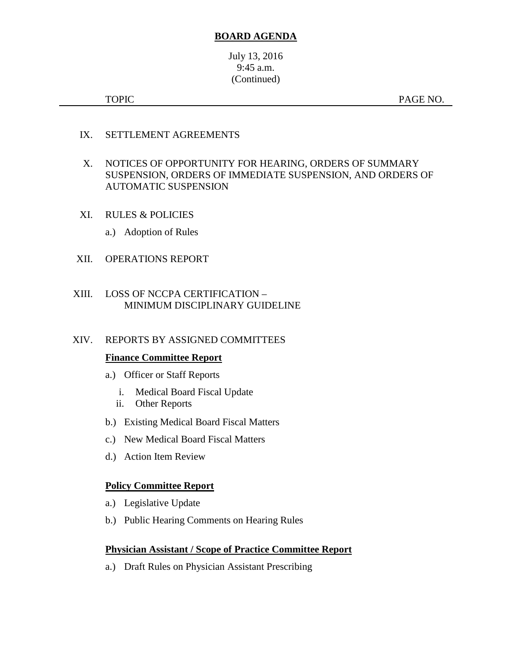# **BOARD AGENDA**

July 13, 2016 9:45 a.m. (Continued)

TOPIC PAGE NO.

## IX. SETTLEMENT AGREEMENTS

- X. NOTICES OF OPPORTUNITY FOR HEARING, ORDERS OF SUMMARY SUSPENSION, ORDERS OF IMMEDIATE SUSPENSION, AND ORDERS OF AUTOMATIC SUSPENSION
- XI. RULES & POLICIES
	- a.) Adoption of Rules
- XII. OPERATIONS REPORT

# XIII. LOSS OF NCCPA CERTIFICATION – MINIMUM DISCIPLINARY GUIDELINE

#### XIV. REPORTS BY ASSIGNED COMMITTEES

#### **Finance Committee Report**

- a.) Officer or Staff Reports
	- i. Medical Board Fiscal Update
	- ii. Other Reports
- b.) Existing Medical Board Fiscal Matters
- c.) New Medical Board Fiscal Matters
- d.) Action Item Review

## **Policy Committee Report**

- a.) Legislative Update
- b.) Public Hearing Comments on Hearing Rules

### **Physician Assistant / Scope of Practice Committee Report**

a.) Draft Rules on Physician Assistant Prescribing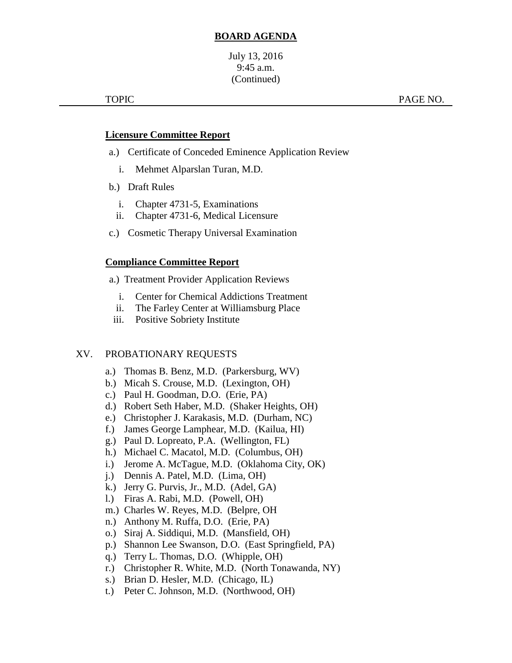## **BOARD AGENDA**

July 13, 2016 9:45 a.m. (Continued)

#### **Licensure Committee Report**

- a.) Certificate of Conceded Eminence Application Review
	- i. Mehmet Alparslan Turan, M.D.
- b.) Draft Rules
	- i. Chapter 4731-5, Examinations
	- ii. Chapter 4731-6, Medical Licensure
- c.) Cosmetic Therapy Universal Examination

#### **Compliance Committee Report**

- a.) Treatment Provider Application Reviews
	- i. Center for Chemical Addictions Treatment
	- ii. The Farley Center at Williamsburg Place
- iii. Positive Sobriety Institute

#### XV. PROBATIONARY REQUESTS

- a.) Thomas B. Benz, M.D. (Parkersburg, WV)
- b.) Micah S. Crouse, M.D. (Lexington, OH)
- c.) Paul H. Goodman, D.O. (Erie, PA)
- d.) Robert Seth Haber, M.D. (Shaker Heights, OH)
- e.) Christopher J. Karakasis, M.D. (Durham, NC)
- f.) James George Lamphear, M.D. (Kailua, HI)
- g.) Paul D. Lopreato, P.A. (Wellington, FL)
- h.) Michael C. Macatol, M.D. (Columbus, OH)
- i.) Jerome A. McTague, M.D. (Oklahoma City, OK)
- j.) Dennis A. Patel, M.D. (Lima, OH)
- k.) Jerry G. Purvis, Jr., M.D. (Adel, GA)
- l.) Firas A. Rabi, M.D. (Powell, OH)
- m.) Charles W. Reyes, M.D. (Belpre, OH
- n.) Anthony M. Ruffa, D.O. (Erie, PA)
- o.) Siraj A. Siddiqui, M.D. (Mansfield, OH)
- p.) Shannon Lee Swanson, D.O. (East Springfield, PA)
- q.) Terry L. Thomas, D.O. (Whipple, OH)
- r.) Christopher R. White, M.D. (North Tonawanda, NY)
- s.) Brian D. Hesler, M.D. (Chicago, IL)
- t.) Peter C. Johnson, M.D. (Northwood, OH)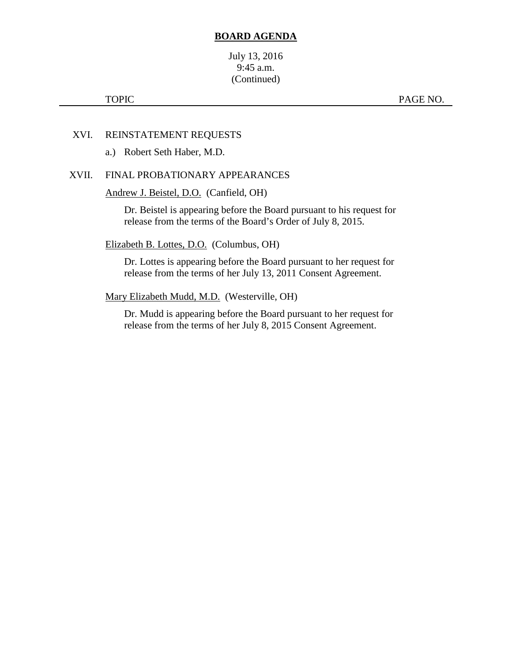#### **BOARD AGENDA**

July 13, 2016 9:45 a.m. (Continued)

## XVI. REINSTATEMENT REQUESTS

a.) Robert Seth Haber, M.D.

#### XVII. FINAL PROBATIONARY APPEARANCES

#### Andrew J. Beistel, D.O. (Canfield, OH)

Dr. Beistel is appearing before the Board pursuant to his request for release from the terms of the Board's Order of July 8, 2015.

## Elizabeth B. Lottes, D.O. (Columbus, OH)

Dr. Lottes is appearing before the Board pursuant to her request for release from the terms of her July 13, 2011 Consent Agreement.

#### Mary Elizabeth Mudd, M.D. (Westerville, OH)

Dr. Mudd is appearing before the Board pursuant to her request for release from the terms of her July 8, 2015 Consent Agreement.